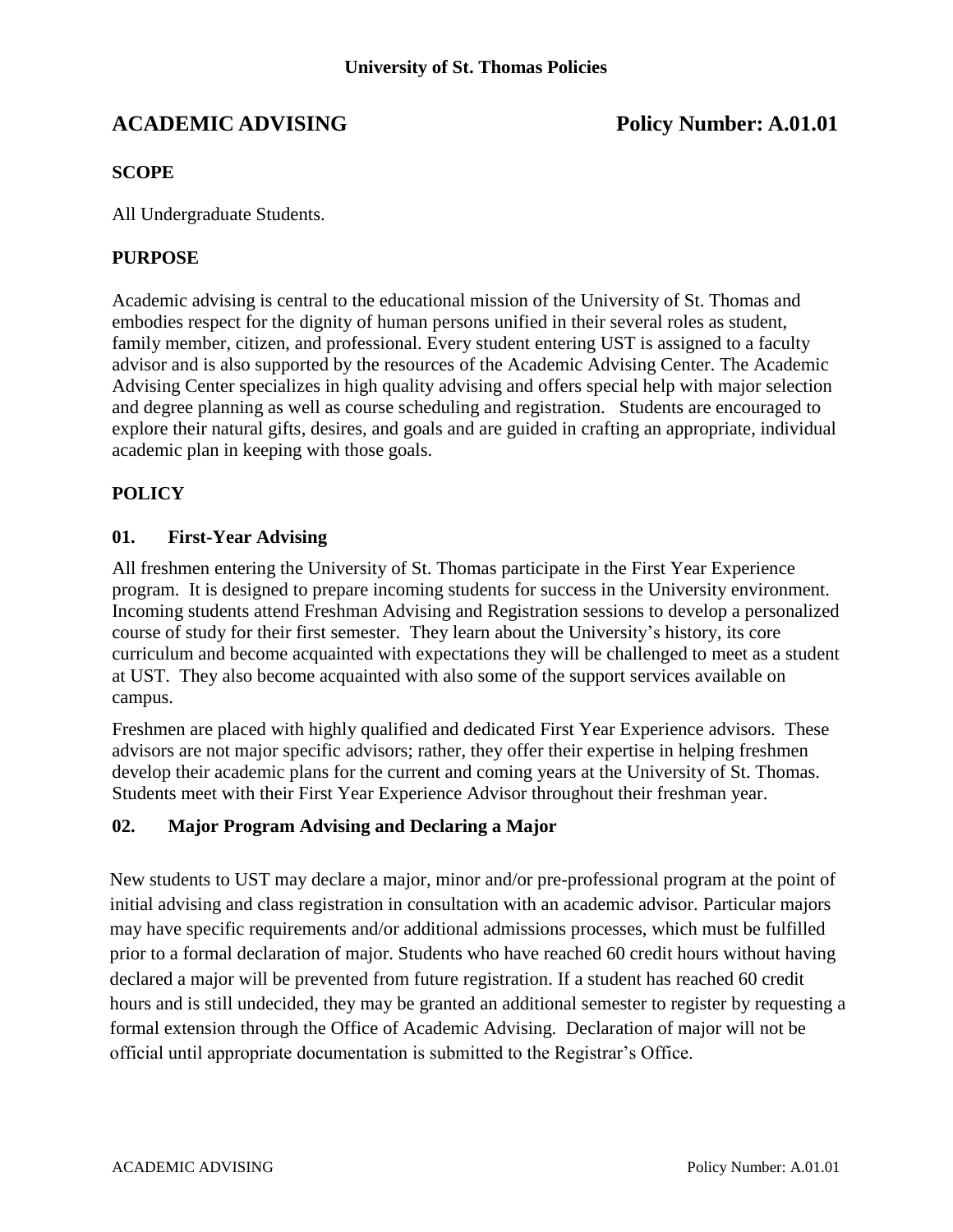# **ACADEMIC ADVISING Policy Number: A.01.01**

# **SCOPE**

All Undergraduate Students.

# **PURPOSE**

Academic advising is central to the educational mission of the University of St. Thomas and embodies respect for the dignity of human persons unified in their several roles as student, family member, citizen, and professional. Every student entering UST is assigned to a faculty advisor and is also supported by the resources of the Academic Advising Center. The Academic Advising Center specializes in high quality advising and offers special help with major selection and degree planning as well as course scheduling and registration. Students are encouraged to explore their natural gifts, desires, and goals and are guided in crafting an appropriate, individual academic plan in keeping with those goals.

# **POLICY**

#### **01. First-Year Advising**

All freshmen entering the University of St. Thomas participate in the First Year Experience program. It is designed to prepare incoming students for success in the University environment. Incoming students attend Freshman Advising and Registration sessions to develop a personalized course of study for their first semester. They learn about the University's history, its core curriculum and become acquainted with expectations they will be challenged to meet as a student at UST. They also become acquainted with also some of the support services available on campus.

Freshmen are placed with highly qualified and dedicated First Year Experience advisors. These advisors are not major specific advisors; rather, they offer their expertise in helping freshmen develop their academic plans for the current and coming years at the University of St. Thomas. Students meet with their First Year Experience Advisor throughout their freshman year.

# **02. Major Program Advising and Declaring a Major**

New students to UST may declare a major, minor and/or pre-professional program at the point of initial advising and class registration in consultation with an academic advisor. Particular majors may have specific requirements and/or additional admissions processes, which must be fulfilled prior to a formal declaration of major. Students who have reached 60 credit hours without having declared a major will be prevented from future registration. If a student has reached 60 credit hours and is still undecided, they may be granted an additional semester to register by requesting a formal extension through the Office of Academic Advising. Declaration of major will not be official until appropriate documentation is submitted to the Registrar's Office.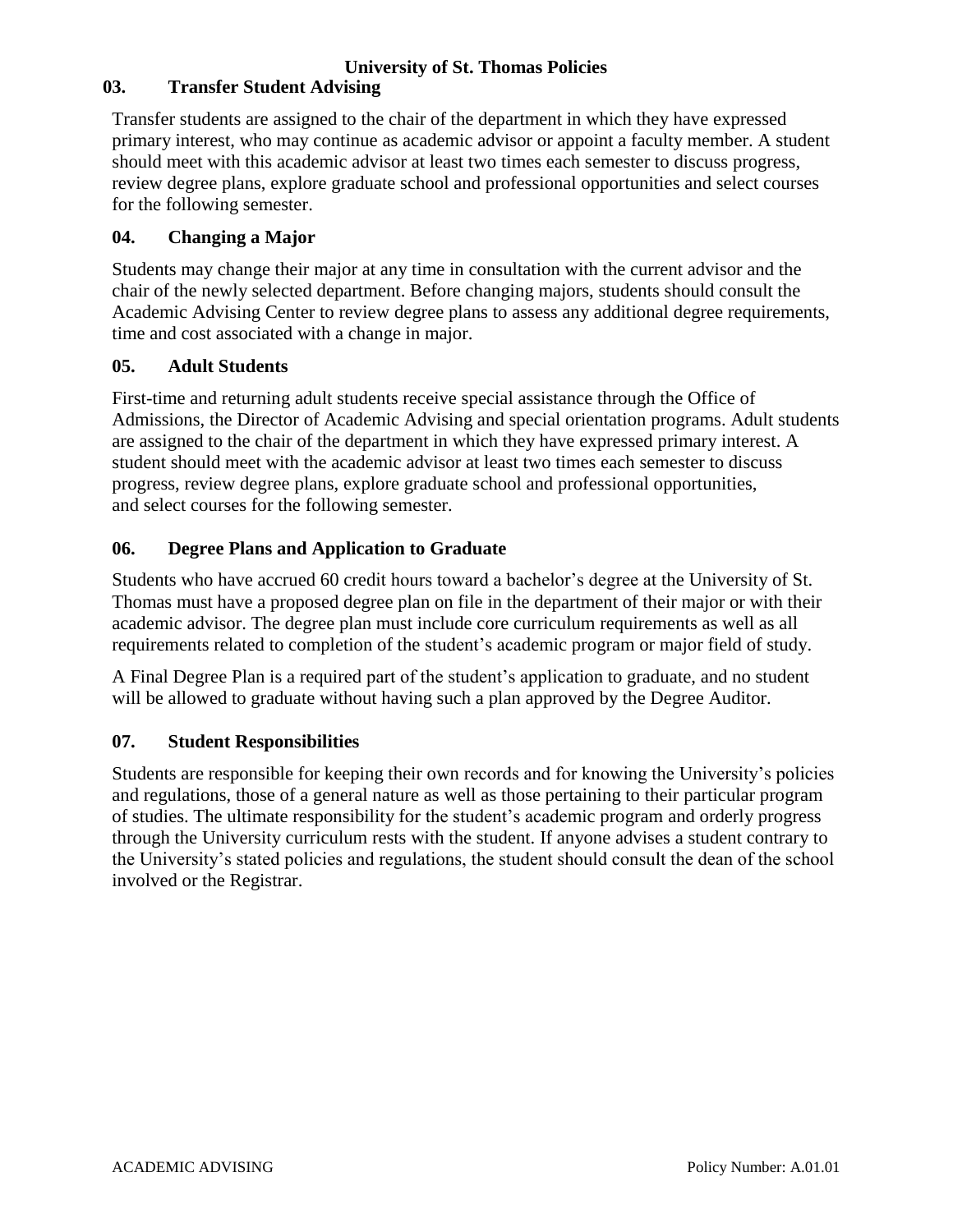# **University of St. Thomas Policies**

# **03. Transfer Student Advising**

Transfer students are assigned to the chair of the department in which they have expressed primary interest, who may continue as academic advisor or appoint a faculty member. A student should meet with this academic advisor at least two times each semester to discuss progress, review degree plans, explore graduate school and professional opportunities and select courses for the following semester.

### **04. Changing a Major**

Students may change their major at any time in consultation with the current advisor and the chair of the newly selected department. Before changing majors, students should consult the Academic Advising Center to review degree plans to assess any additional degree requirements, time and cost associated with a change in major.

#### **05. Adult Students**

First-time and returning adult students receive special assistance through the Office of Admissions, the Director of Academic Advising and special orientation programs. Adult students are assigned to the chair of the department in which they have expressed primary interest. A student should meet with the academic advisor at least two times each semester to discuss progress, review degree plans, explore graduate school and professional opportunities, and select courses for the following semester.

# **06. Degree Plans and Application to Graduate**

Students who have accrued 60 credit hours toward a bachelor's degree at the University of St. Thomas must have a proposed degree plan on file in the department of their major or with their academic advisor. The degree plan must include core curriculum requirements as well as all requirements related to completion of the student's academic program or major field of study.

A Final Degree Plan is a required part of the student's application to graduate, and no student will be allowed to graduate without having such a plan approved by the Degree Auditor.

# **07. Student Responsibilities**

Students are responsible for keeping their own records and for knowing the University's policies and regulations, those of a general nature as well as those pertaining to their particular program of studies. The ultimate responsibility for the student's academic program and orderly progress through the University curriculum rests with the student. If anyone advises a student contrary to the University's stated policies and regulations, the student should consult the dean of the school involved or the Registrar.